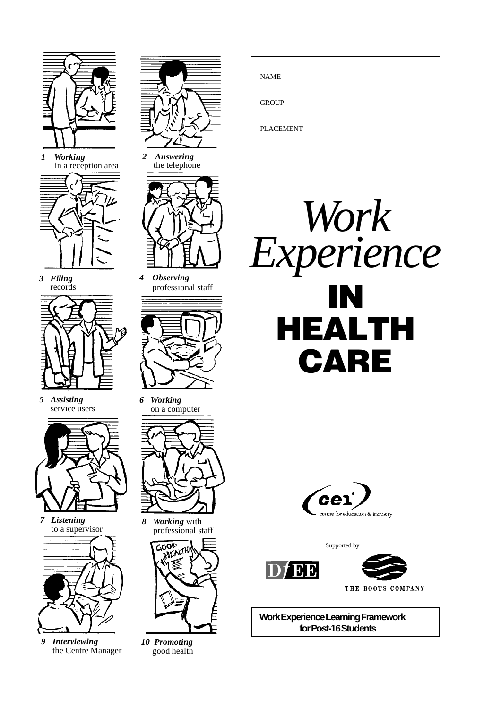

*1 Working* in a reception area



*3 Filing* records



*5 Assisting* service users



*7 Listening* to a supervisor



*9 Interviewing* the Centre Manager



*2 Answering* the telephone



*4 Observing* professional staff



*6 Working* on a computer



*8 Working* with professional staff



*10 Promoting* good health

| <b>NAME</b><br>the contract of the contract of the contract of the contract of the contract of |
|------------------------------------------------------------------------------------------------|
| GROUP <b>GROUP</b>                                                                             |
| PLACEMENT FILADE                                                                               |





Supported by





THE BOOTS COMPANY

**Work Experience Learning Framework for Post-16 Students**